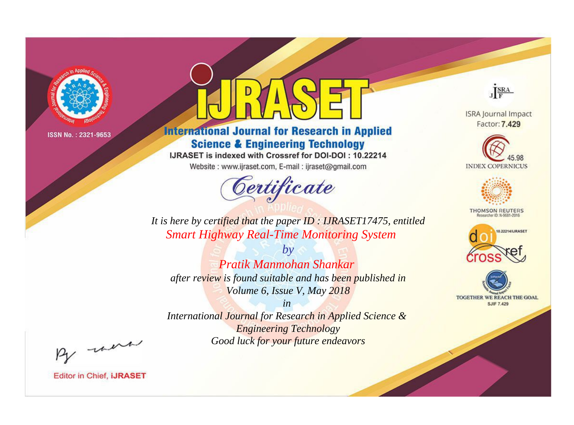

# **International Journal for Research in Applied Science & Engineering Technology**

IJRASET is indexed with Crossref for DOI-DOI: 10.22214

Website: www.ijraset.com, E-mail: ijraset@gmail.com



JERA

**ISRA Journal Impact** Factor: 7.429





**THOMSON REUTERS** 



TOGETHER WE REACH THE GOAL **SJIF 7.429** 

*It is here by certified that the paper ID : IJRASET17475, entitled Smart Highway Real-Time Monitoring System*

*by Pratik Manmohan Shankar after review is found suitable and has been published in Volume 6, Issue V, May 2018*

*in* 

*International Journal for Research in Applied Science & Engineering Technology Good luck for your future endeavors*

By morn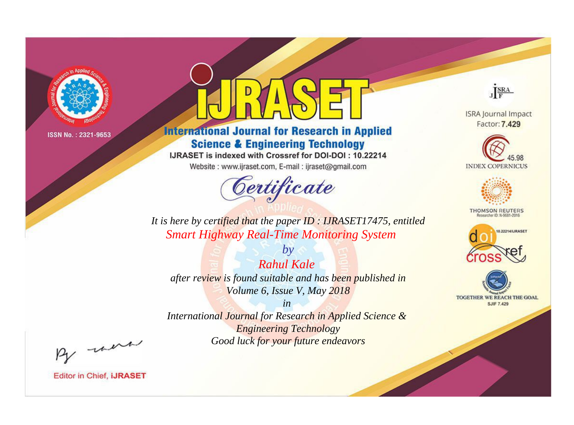

# **International Journal for Research in Applied Science & Engineering Technology**

IJRASET is indexed with Crossref for DOI-DOI: 10.22214

Website: www.ijraset.com, E-mail: ijraset@gmail.com



JERA

**ISRA Journal Impact** Factor: 7.429





**THOMSON REUTERS** 



TOGETHER WE REACH THE GOAL **SJIF 7.429** 

*It is here by certified that the paper ID : IJRASET17475, entitled Smart Highway Real-Time Monitoring System*

*Rahul Kale after review is found suitable and has been published in Volume 6, Issue V, May 2018*

*by*

*in* 

*International Journal for Research in Applied Science & Engineering Technology Good luck for your future endeavors*

By morn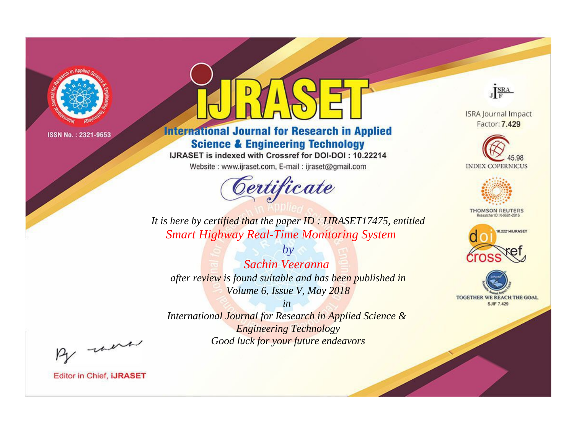

# **International Journal for Research in Applied Science & Engineering Technology**

IJRASET is indexed with Crossref for DOI-DOI: 10.22214

Website: www.ijraset.com, E-mail: ijraset@gmail.com



JERA

**ISRA Journal Impact** Factor: 7.429





**THOMSON REUTERS** 



TOGETHER WE REACH THE GOAL **SJIF 7.429** 

*It is here by certified that the paper ID : IJRASET17475, entitled Smart Highway Real-Time Monitoring System*

*Sachin Veeranna after review is found suitable and has been published in Volume 6, Issue V, May 2018*

*by*

*in* 

*International Journal for Research in Applied Science & Engineering Technology Good luck for your future endeavors*

By morn